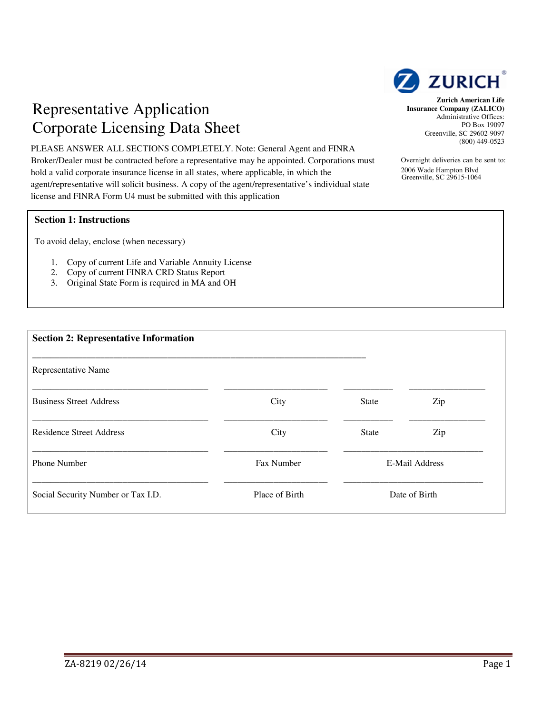

## Representative Application Corporate Licensing Data Sheet

. PLEASE ANSWER ALL SECTIONS COMPLETELY. Note: General Agent and FINRA Broker/Dealer must be contracted before a representative may be appointed. Corporations must hold a valid corporate insurance license in all states, where applicable, in which the agent/representative will solicit business. A copy of the agent/representative's individual state license and FINRA Form U4 must be submitted with this application

## **Section 1: Instructions**

To avoid delay, enclose (when necessary)

- 1. Copy of current Life and Variable Annuity License
- 2. Copy of current FINRA CRD Status Report
- 3. Original State Form is required in MA and OH

| <b>Section 2: Representative Information</b> |                |              |                |  |
|----------------------------------------------|----------------|--------------|----------------|--|
| Representative Name                          |                |              |                |  |
| <b>Business Street Address</b>               | City           | <b>State</b> | Zip            |  |
| <b>Residence Street Address</b>              | City           | <b>State</b> | Zip            |  |
| <b>Phone Number</b>                          | Fax Number     |              | E-Mail Address |  |
| Social Security Number or Tax I.D.           | Place of Birth |              | Date of Birth  |  |

**Zurich American Life Insurance Company (ZALICO)**  Administrative Offices: PO Box 19097 Greenville, SC 29602-9097 (800) 449-0523

Overnight deliveries can be sent to: 2006 Wade Hampton Blvd Greenville, SC 29615-1064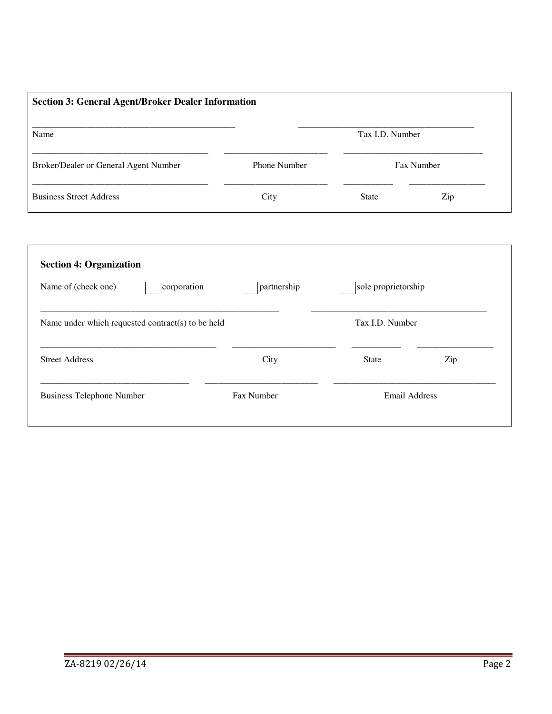| <b>Section 3: General Agent/Broker Dealer Information</b> |                     |              |     |  |
|-----------------------------------------------------------|---------------------|--------------|-----|--|
| Name                                                      | Tax I.D. Number     |              |     |  |
| Broker/Dealer or General Agent Number                     | <b>Phone Number</b> | Fax Number   |     |  |
| <b>Business Street Address</b>                            | City                | <b>State</b> | Zip |  |

| corporation<br>Name of (check one)                | partnership | sole proprietorship |     |
|---------------------------------------------------|-------------|---------------------|-----|
| Name under which requested contract(s) to be held |             | Tax I.D. Number     |     |
| <b>Street Address</b>                             | City        | <b>State</b>        | Zip |
|                                                   |             | Email Address       |     |